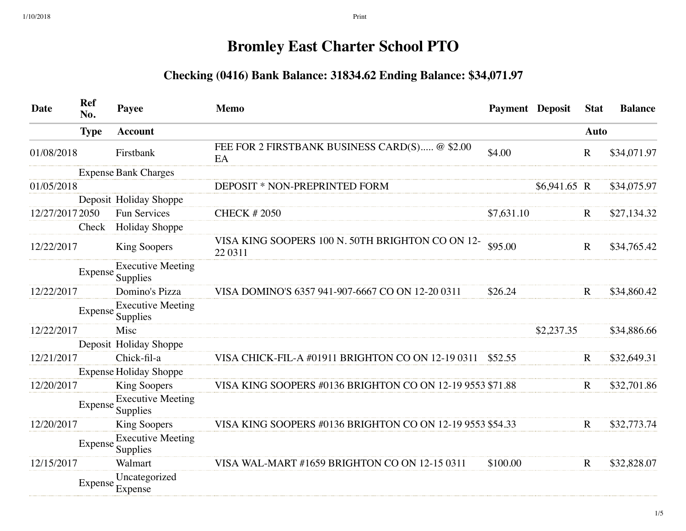## **Bromley East Charter School PTO**

## **Checking (0416) Bank Balance: 31834.62 Ending Balance: \$34,071.97**

| <b>Date</b>     | Ref<br>No.  | Payee                                        | <b>Memo</b>                                                  | <b>Payment Deposit</b> |               | <b>Stat</b> | <b>Balance</b> |
|-----------------|-------------|----------------------------------------------|--------------------------------------------------------------|------------------------|---------------|-------------|----------------|
|                 | <b>Type</b> | <b>Account</b>                               |                                                              |                        |               | <b>Auto</b> |                |
| 01/08/2018      |             | Firstbank                                    | FEE FOR 2 FIRSTBANK BUSINESS CARD(S) @ \$2.00<br>EA          | \$4.00                 |               | $\mathbf R$ | \$34,071.97    |
|                 |             | <b>Expense Bank Charges</b>                  |                                                              |                        |               |             |                |
| 01/05/2018      |             |                                              | DEPOSIT * NON-PREPRINTED FORM                                |                        | $$6,941.65$ R |             | \$34,075.97    |
|                 |             | Deposit Holiday Shoppe                       |                                                              |                        |               |             |                |
| 12/27/2017 2050 |             | <b>Fun Services</b>                          | <b>CHECK #2050</b>                                           | \$7,631.10             |               | $\mathbf R$ | \$27,134.32    |
|                 | Check       | <b>Holiday Shoppe</b>                        |                                                              |                        |               |             |                |
| 12/22/2017      |             | <b>King Soopers</b>                          | VISA KING SOOPERS 100 N. 50TH BRIGHTON CO ON 12-<br>22 03 11 | \$95.00                |               | $\mathbf R$ | \$34,765.42    |
|                 |             | <b>Executive Meeting</b><br>Expense Supplies |                                                              |                        |               |             |                |
| 12/22/2017      |             | Domino's Pizza                               | VISA DOMINO'S 6357 941-907-6667 CO ON 12-20 0311             | \$26.24                |               | $\mathbf R$ | \$34,860.42    |
|                 |             | <b>Executive Meeting</b><br>Expense Supplies |                                                              |                        |               |             |                |
| 12/22/2017      |             | Misc                                         |                                                              |                        | \$2,237.35    |             | \$34,886.66    |
|                 |             | Deposit Holiday Shoppe                       |                                                              |                        |               |             |                |
| 12/21/2017      |             | Chick-fil-a                                  | VISA CHICK-FIL-A #01911 BRIGHTON CO ON 12-19 0311            | \$52.55                |               | $\mathbf R$ | \$32,649.31    |
|                 |             | <b>Expense Holiday Shoppe</b>                |                                                              |                        |               |             |                |
| 12/20/2017      |             | <b>King Soopers</b>                          | VISA KING SOOPERS #0136 BRIGHTON CO ON 12-19 9553 \$71.88    |                        |               | $\mathbf R$ | \$32,701.86    |
|                 | Expense     | <b>Executive Meeting</b><br>Supplies         |                                                              |                        |               |             |                |
| 12/20/2017      |             | <b>King Soopers</b>                          | VISA KING SOOPERS #0136 BRIGHTON CO ON 12-19 9553 \$54.33    |                        |               | $\mathbf R$ | \$32,773.74    |
|                 | Expense     | <b>Executive Meeting</b><br>Supplies         |                                                              |                        |               |             |                |
| 12/15/2017      |             | Walmart                                      | VISA WAL-MART #1659 BRIGHTON CO ON 12-15 0311                | \$100.00               |               | $\mathbf R$ | \$32,828.07    |
|                 |             | Uncategorized<br>Expense Expense             |                                                              |                        |               |             |                |